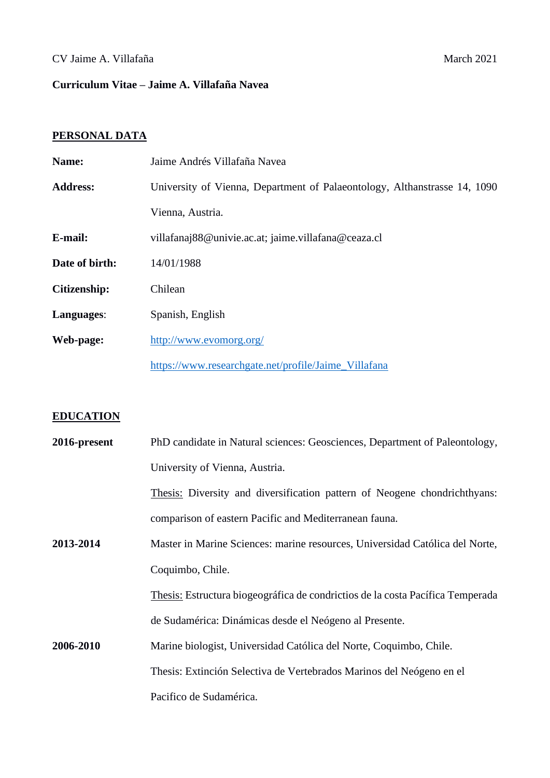# CV Jaime A. Villafaña March 2021

# **Curriculum Vitae – Jaime A. Villafaña Navea**

# **PERSONAL DATA**

| Name:               | Jaime Andrés Villafaña Navea                                              |
|---------------------|---------------------------------------------------------------------------|
| <b>Address:</b>     | University of Vienna, Department of Palaeontology, Althanstrasse 14, 1090 |
|                     | Vienna, Austria.                                                          |
| E-mail:             | villafanaj88@univie.ac.at; jaime.villafana@ceaza.cl                       |
| Date of birth:      | 14/01/1988                                                                |
| <b>Citizenship:</b> | Chilean                                                                   |
| Languages:          | Spanish, English                                                          |
| Web-page:           | http://www.evomorg.org/                                                   |
|                     | https://www.researchgate.net/profile/Jaime_Villafana                      |

# **EDUCATION**

| 2016-present | PhD candidate in Natural sciences: Geosciences, Department of Paleontology,    |
|--------------|--------------------------------------------------------------------------------|
|              | University of Vienna, Austria.                                                 |
|              | Thesis: Diversity and diversification pattern of Neogene chondrichthyans:      |
|              | comparison of eastern Pacific and Mediterranean fauna.                         |
| 2013-2014    | Master in Marine Sciences: marine resources, Universidad Católica del Norte,   |
|              | Coquimbo, Chile.                                                               |
|              | Thesis: Estructura biogeográfica de condrictios de la costa Pacífica Temperada |
|              | de Sudamérica: Dinámicas desde el Neógeno al Presente.                         |
| 2006-2010    | Marine biologist, Universidad Católica del Norte, Coquimbo, Chile.             |
|              | Thesis: Extinción Selectiva de Vertebrados Marinos del Neógeno en el           |
|              | Pacifico de Sudamérica.                                                        |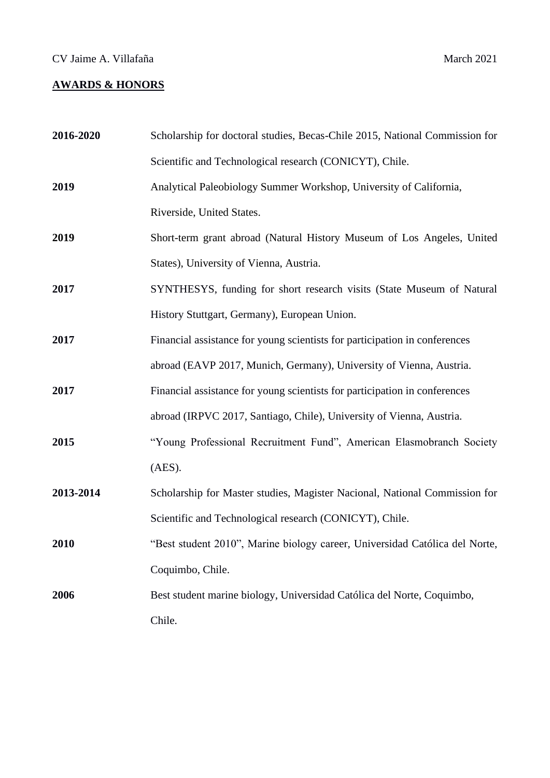# **AWARDS & HONORS**

| 2016-2020 | Scholarship for doctoral studies, Becas-Chile 2015, National Commission for |
|-----------|-----------------------------------------------------------------------------|
|           | Scientific and Technological research (CONICYT), Chile.                     |
| 2019      | Analytical Paleobiology Summer Workshop, University of California,          |
|           | Riverside, United States.                                                   |
| 2019      | Short-term grant abroad (Natural History Museum of Los Angeles, United      |
|           | States), University of Vienna, Austria.                                     |
| 2017      | SYNTHESYS, funding for short research visits (State Museum of Natural       |
|           | History Stuttgart, Germany), European Union.                                |
| 2017      | Financial assistance for young scientists for participation in conferences  |
|           | abroad (EAVP 2017, Munich, Germany), University of Vienna, Austria.         |
| 2017      | Financial assistance for young scientists for participation in conferences  |
|           | abroad (IRPVC 2017, Santiago, Chile), University of Vienna, Austria.        |
| 2015      | "Young Professional Recruitment Fund", American Elasmobranch Society        |
|           | (AES).                                                                      |
| 2013-2014 | Scholarship for Master studies, Magister Nacional, National Commission for  |
|           | Scientific and Technological research (CONICYT), Chile.                     |
| 2010      | "Best student 2010", Marine biology career, Universidad Católica del Norte, |
|           | Coquimbo, Chile.                                                            |
| 2006      | Best student marine biology, Universidad Católica del Norte, Coquimbo,      |
|           | Chile.                                                                      |
|           |                                                                             |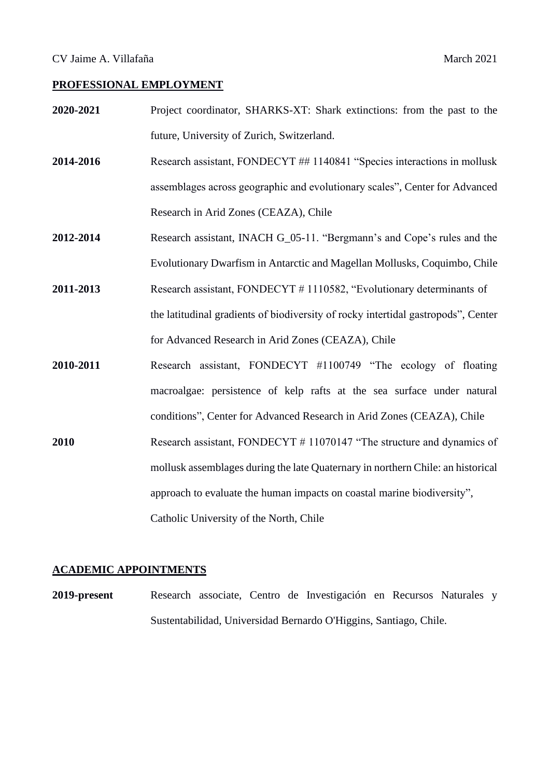#### **PROFESSIONAL EMPLOYMENT**

- **2020-2021** Project coordinator, SHARKS-XT: Shark extinctions: from the past to the future, University of Zurich, Switzerland.
- **2014-2016** Research assistant, FONDECYT ## 1140841 "Species interactions in mollusk assemblages across geographic and evolutionary scales", Center for Advanced Research in Arid Zones (CEAZA), Chile
- **2012-2014** Research assistant, INACH G\_05-11. "Bergmann's and Cope's rules and the Evolutionary Dwarfism in Antarctic and Magellan Mollusks, Coquimbo, Chile
- **2011-2013** Research assistant, FONDECYT # 1110582, "Evolutionary determinants of the latitudinal gradients of biodiversity of rocky intertidal gastropods", Center for Advanced Research in Arid Zones (CEAZA), Chile
- **2010-2011** Research assistant, FONDECYT #1100749 "The ecology of floating macroalgae: persistence of kelp rafts at the sea surface under natural conditions", Center for Advanced Research in Arid Zones (CEAZA), Chile
- **2010** Research assistant, FONDECYT # 11070147 "The structure and dynamics of mollusk assemblages during the late Quaternary in northern Chile: an historical approach to evaluate the human impacts on coastal marine biodiversity", Catholic University of the North, Chile

#### **ACADEMIC APPOINTMENTS**

**2019-present** Research associate, Centro de Investigación en Recursos Naturales y Sustentabilidad, Universidad Bernardo O'Higgins, Santiago, Chile.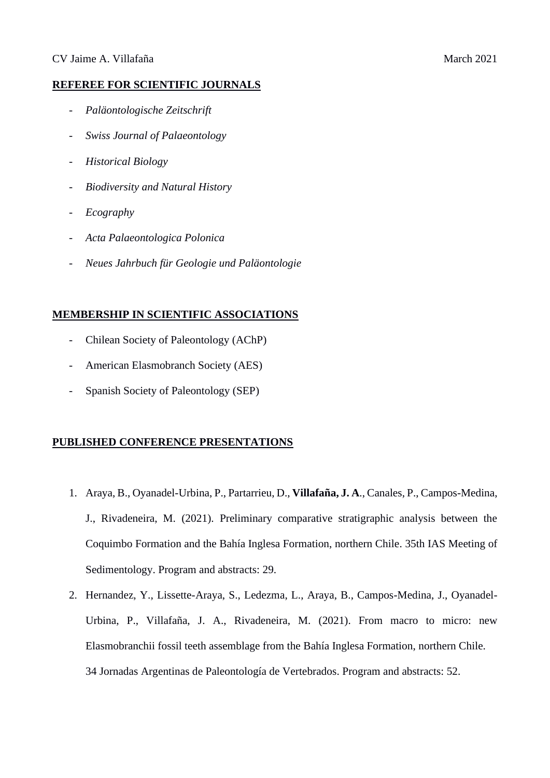#### **REFEREE FOR SCIENTIFIC JOURNALS**

- *Paläontologische Zeitschrift*
- *Swiss Journal of Palaeontology*
- *Historical Biology*
- *Biodiversity and Natural History*
- *Ecography*
- *Acta Palaeontologica Polonica*
- *Neues Jahrbuch für Geologie und Paläontologie*

## **MEMBERSHIP IN SCIENTIFIC ASSOCIATIONS**

- Chilean Society of Paleontology (AChP)
- American Elasmobranch Society (AES)
- Spanish Society of Paleontology (SEP)

## **PUBLISHED CONFERENCE PRESENTATIONS**

- 1. Araya, B., Oyanadel-Urbina, P., Partarrieu, D., **Villafaña, J. A**., Canales, P., Campos-Medina, J., Rivadeneira, M. (2021). Preliminary comparative stratigraphic analysis between the Coquimbo Formation and the Bahía Inglesa Formation, northern Chile. 35th IAS Meeting of Sedimentology. Program and abstracts: 29.
- 2. Hernandez, Y., Lissette-Araya, S., Ledezma, L., Araya, B., Campos-Medina, J., Oyanadel-Urbina, P., Villafaña, J. A., Rivadeneira, M. (2021). From macro to micro: new Elasmobranchii fossil teeth assemblage from the Bahía Inglesa Formation, northern Chile. 34 Jornadas Argentinas de Paleontología de Vertebrados. Program and abstracts: 52.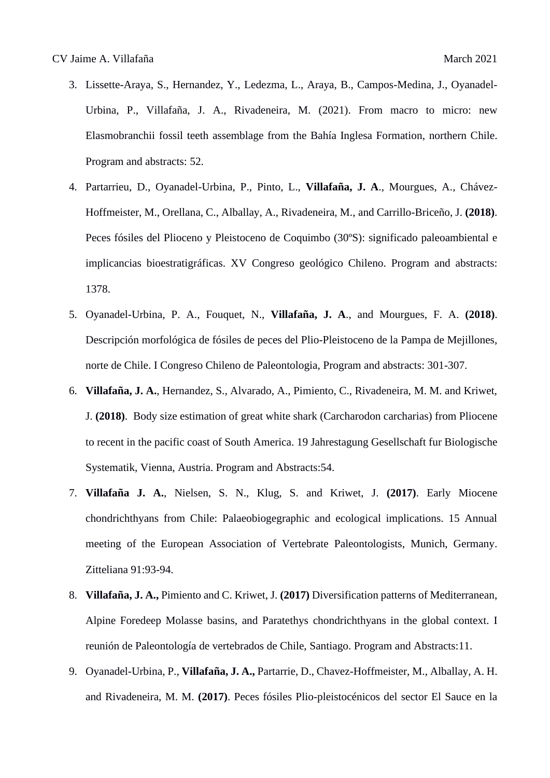- 3. Lissette-Araya, S., Hernandez, Y., Ledezma, L., Araya, B., Campos-Medina, J., Oyanadel-Urbina, P., Villafaña, J. A., Rivadeneira, M. (2021). From macro to micro: new Elasmobranchii fossil teeth assemblage from the Bahía Inglesa Formation, northern Chile. Program and abstracts: 52.
- 4. Partarrieu, D., Oyanadel-Urbina, P., Pinto, L., **Villafaña, J. A**., Mourgues, A., Chávez-Hoffmeister, M., Orellana, C., Alballay, A., Rivadeneira, M., and Carrillo-Briceño, J. **(2018)**. Peces fósiles del Plioceno y Pleistoceno de Coquimbo (30ºS): significado paleoambiental e implicancias bioestratigráficas. XV Congreso geológico Chileno. Program and abstracts: 1378.
- 5. Oyanadel-Urbina, P. A., Fouquet, N., **Villafaña, J. A**., and Mourgues, F. A. **(2018)**. Descripción morfológica de fósiles de peces del Plio-Pleistoceno de la Pampa de Mejillones, norte de Chile. I Congreso Chileno de Paleontologia, Program and abstracts: 301-307.
- 6. **Villafaña, J. A.**, Hernandez, S., Alvarado, A., Pimiento, C., Rivadeneira, M. M. and Kriwet, J. **(2018)**. Body size estimation of great white shark (Carcharodon carcharias) from Pliocene to recent in the pacific coast of South America. 19 Jahrestagung Gesellschaft fur Biologische Systematik, Vienna, Austria. Program and Abstracts:54.
- 7. **Villafaña J. A.**, Nielsen, S. N., Klug, S. and Kriwet, J. **(2017)**. Early Miocene chondrichthyans from Chile: Palaeobiogegraphic and ecological implications. 15 Annual meeting of the European Association of Vertebrate Paleontologists, Munich, Germany. Zitteliana 91:93-94.
- 8. **Villafaña, J. A.,** Pimiento and C. Kriwet, J. **(2017)** Diversification patterns of Mediterranean, Alpine Foredeep Molasse basins, and Paratethys chondrichthyans in the global context. I reunión de Paleontología de vertebrados de Chile, Santiago. Program and Abstracts:11.
- 9. Oyanadel-Urbina, P., **Villafaña, J. A.,** Partarrie, D., Chavez-Hoffmeister, M., Alballay, A. H. and Rivadeneira, M. M. **(2017)**. Peces fósiles Plio-pleistocénicos del sector El Sauce en la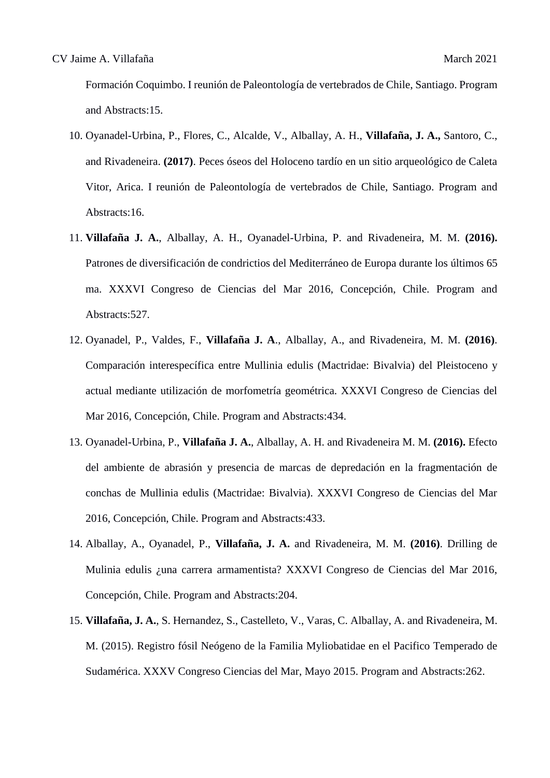Formación Coquimbo. I reunión de Paleontología de vertebrados de Chile, Santiago. Program and Abstracts:15.

- 10. Oyanadel-Urbina, P., Flores, C., Alcalde, V., Alballay, A. H., **Villafaña, J. A.,** Santoro, C., and Rivadeneira. **(2017)**. Peces óseos del Holoceno tardío en un sitio arqueológico de Caleta Vitor, Arica. I reunión de Paleontología de vertebrados de Chile, Santiago. Program and Abstracts:16.
- 11. **Villafaña J. A.**, Alballay, A. H., Oyanadel-Urbina, P. and Rivadeneira, M. M. **(2016).** Patrones de diversificación de condrictios del Mediterráneo de Europa durante los últimos 65 ma. XXXVI Congreso de Ciencias del Mar 2016, Concepción, Chile. Program and Abstracts:527.
- 12. Oyanadel, P., Valdes, F., **Villafaña J. A**., Alballay, A., and Rivadeneira, M. M. **(2016)**. Comparación interespecífica entre Mullinia edulis (Mactridae: Bivalvia) del Pleistoceno y actual mediante utilización de morfometría geométrica. XXXVI Congreso de Ciencias del Mar 2016, Concepción, Chile. Program and Abstracts:434.
- 13. Oyanadel-Urbina, P., **Villafaña J. A.**, Alballay, A. H. and Rivadeneira M. M. **(2016).** Efecto del ambiente de abrasión y presencia de marcas de depredación en la fragmentación de conchas de Mullinia edulis (Mactridae: Bivalvia). XXXVI Congreso de Ciencias del Mar 2016, Concepción, Chile. Program and Abstracts:433.
- 14. Alballay, A., Oyanadel, P., **Villafaña, J. A.** and Rivadeneira, M. M. **(2016)**. Drilling de Mulinia edulis ¿una carrera armamentista? XXXVI Congreso de Ciencias del Mar 2016, Concepción, Chile. Program and Abstracts:204.
- 15. **Villafaña, J. A.**, S. Hernandez, S., Castelleto, V., Varas, C. Alballay, A. and Rivadeneira, M. M. (2015). Registro fósil Neógeno de la Familia Myliobatidae en el Pacifico Temperado de Sudamérica. XXXV Congreso Ciencias del Mar, Mayo 2015. Program and Abstracts:262.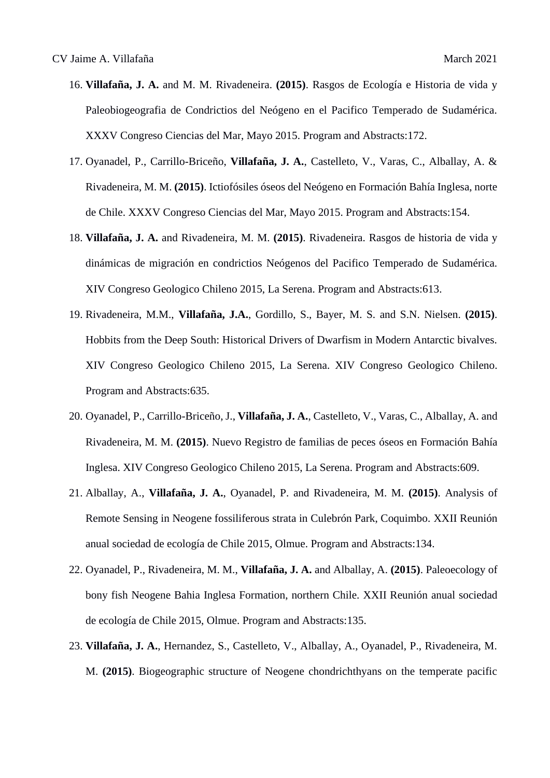- 16. **Villafaña, J. A.** and M. M. Rivadeneira. **(2015)**. Rasgos de Ecología e Historia de vida y Paleobiogeografia de Condrictios del Neógeno en el Pacifico Temperado de Sudamérica. XXXV Congreso Ciencias del Mar, Mayo 2015. Program and Abstracts:172.
- 17. Oyanadel, P., Carrillo-Briceño, **Villafaña, J. A.**, Castelleto, V., Varas, C., Alballay, A. & Rivadeneira, M. M. **(2015)**. Ictiofósiles óseos del Neógeno en Formación Bahía Inglesa, norte de Chile. XXXV Congreso Ciencias del Mar, Mayo 2015. Program and Abstracts:154.
- 18. **Villafaña, J. A.** and Rivadeneira, M. M. **(2015)**. Rivadeneira. Rasgos de historia de vida y dinámicas de migración en condrictios Neógenos del Pacifico Temperado de Sudamérica. XIV Congreso Geologico Chileno 2015, La Serena. Program and Abstracts:613.
- 19. Rivadeneira, M.M., **Villafaña, J.A.**, Gordillo, S., Bayer, M. S. and S.N. Nielsen. **(2015)**. Hobbits from the Deep South: Historical Drivers of Dwarfism in Modern Antarctic bivalves. XIV Congreso Geologico Chileno 2015, La Serena. XIV Congreso Geologico Chileno. Program and Abstracts:635.
- 20. Oyanadel, P., Carrillo-Briceño, J., **Villafaña, J. A.**, Castelleto, V., Varas, C., Alballay, A. and Rivadeneira, M. M. **(2015)**. Nuevo Registro de familias de peces óseos en Formación Bahía Inglesa. XIV Congreso Geologico Chileno 2015, La Serena. Program and Abstracts:609.
- 21. Alballay, A., **Villafaña, J. A.**, Oyanadel, P. and Rivadeneira, M. M. **(2015)**. Analysis of Remote Sensing in Neogene fossiliferous strata in Culebrón Park, Coquimbo. XXII Reunión anual sociedad de ecología de Chile 2015, Olmue. Program and Abstracts:134.
- 22. Oyanadel, P., Rivadeneira, M. M., **Villafaña, J. A.** and Alballay, A. **(2015)**. Paleoecology of bony fish Neogene Bahia Inglesa Formation, northern Chile. XXII Reunión anual sociedad de ecología de Chile 2015, Olmue. Program and Abstracts:135.
- 23. **Villafaña, J. A.**, Hernandez, S., Castelleto, V., Alballay, A., Oyanadel, P., Rivadeneira, M. M. **(2015)**. Biogeographic structure of Neogene chondrichthyans on the temperate pacific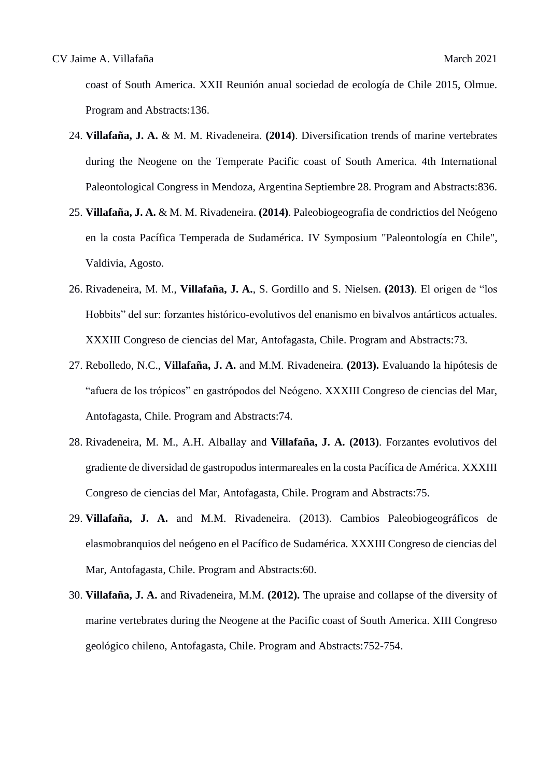coast of South America. XXII Reunión anual sociedad de ecología de Chile 2015, Olmue. Program and Abstracts:136.

- 24. **Villafaña, J. A.** & M. M. Rivadeneira. **(2014)**. Diversification trends of marine vertebrates during the Neogene on the Temperate Pacific coast of South America. 4th International Paleontological Congress in Mendoza, Argentina Septiembre 28. Program and Abstracts:836.
- 25. **Villafaña, J. A.** & M. M. Rivadeneira. **(2014)**. Paleobiogeografia de condrictios del Neógeno en la costa Pacífica Temperada de Sudamérica. IV Symposium "Paleontología en Chile", Valdivia, Agosto.
- 26. Rivadeneira, M. M., **Villafaña, J. A.**, S. Gordillo and S. Nielsen. **(2013)**. El origen de "los Hobbits" del sur: forzantes histórico-evolutivos del enanismo en bivalvos antárticos actuales. XXXIII Congreso de ciencias del Mar, Antofagasta, Chile. Program and Abstracts:73.
- 27. Rebolledo, N.C., **Villafaña, J. A.** and M.M. Rivadeneira. **(2013).** Evaluando la hipótesis de "afuera de los trópicos" en gastrópodos del Neógeno. XXXIII Congreso de ciencias del Mar, Antofagasta, Chile. Program and Abstracts:74.
- 28. Rivadeneira, M. M., A.H. Alballay and **Villafaña, J. A. (2013)**. Forzantes evolutivos del gradiente de diversidad de gastropodos intermareales en la costa Pacífica de América. XXXIII Congreso de ciencias del Mar, Antofagasta, Chile. Program and Abstracts:75.
- 29. **Villafaña, J. A.** and M.M. Rivadeneira. (2013). Cambios Paleobiogeográficos de elasmobranquios del neógeno en el Pacífico de Sudamérica. XXXIII Congreso de ciencias del Mar, Antofagasta, Chile. Program and Abstracts:60.
- 30. **Villafaña, J. A.** and Rivadeneira, M.M. **(2012).** The upraise and collapse of the diversity of marine vertebrates during the Neogene at the Pacific coast of South America. XIII Congreso geológico chileno, Antofagasta, Chile. Program and Abstracts:752-754.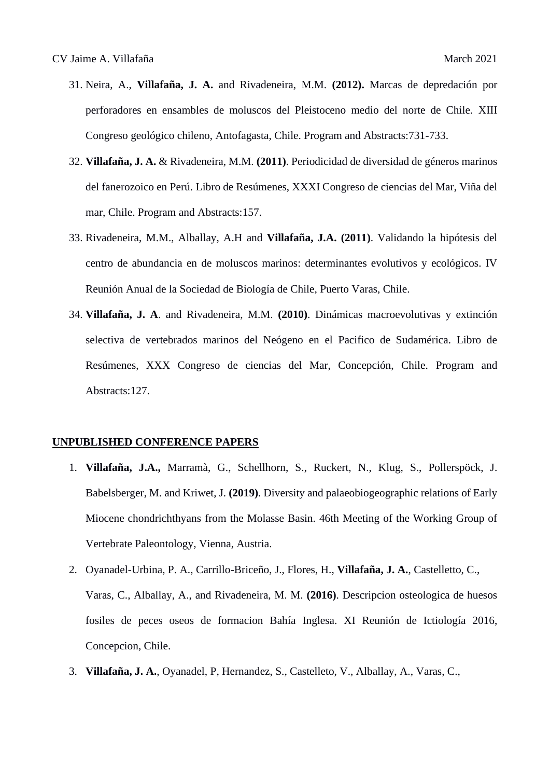- 31. Neira, A., **Villafaña, J. A.** and Rivadeneira, M.M. **(2012).** Marcas de depredación por perforadores en ensambles de moluscos del Pleistoceno medio del norte de Chile. XIII Congreso geológico chileno, Antofagasta, Chile. Program and Abstracts:731-733.
- 32. **Villafaña, J. A.** & Rivadeneira, M.M. **(2011)**. Periodicidad de diversidad de géneros marinos del fanerozoico en Perú. Libro de Resúmenes, XXXI Congreso de ciencias del Mar, Viña del mar, Chile. Program and Abstracts:157.
- 33. Rivadeneira, M.M., Alballay, A.H and **Villafaña, J.A. (2011)**. Validando la hipótesis del centro de abundancia en de moluscos marinos: determinantes evolutivos y ecológicos. IV Reunión Anual de la Sociedad de Biología de Chile, Puerto Varas, Chile.
- 34. **Villafaña, J. A**. and Rivadeneira, M.M. **(2010)**. Dinámicas macroevolutivas y extinción selectiva de vertebrados marinos del Neógeno en el Pacifico de Sudamérica. Libro de Resúmenes, XXX Congreso de ciencias del Mar, Concepción, Chile. Program and Abstracts:127.

#### **UNPUBLISHED CONFERENCE PAPERS**

- 1. **Villafaña, J.A.,** Marramà, G., Schellhorn, S., Ruckert, N., Klug, S., Pollerspöck, J. Babelsberger, M. and Kriwet, J. **(2019)**. Diversity and palaeobiogeographic relations of Early Miocene chondrichthyans from the Molasse Basin. 46th Meeting of the Working Group of Vertebrate Paleontology, Vienna, Austria.
- 2. Oyanadel-Urbina, P. A., Carrillo-Briceño, J., Flores, H., **Villafaña, J. A.**, Castelletto, C., Varas, C., Alballay, A., and Rivadeneira, M. M. **(2016)**. Descripcion osteologica de huesos fosiles de peces oseos de formacion Bahía Inglesa. XI Reunión de Ictiología 2016, Concepcion, Chile.
- 3. **Villafaña, J. A.**, Oyanadel, P, Hernandez, S., Castelleto, V., Alballay, A., Varas, C.,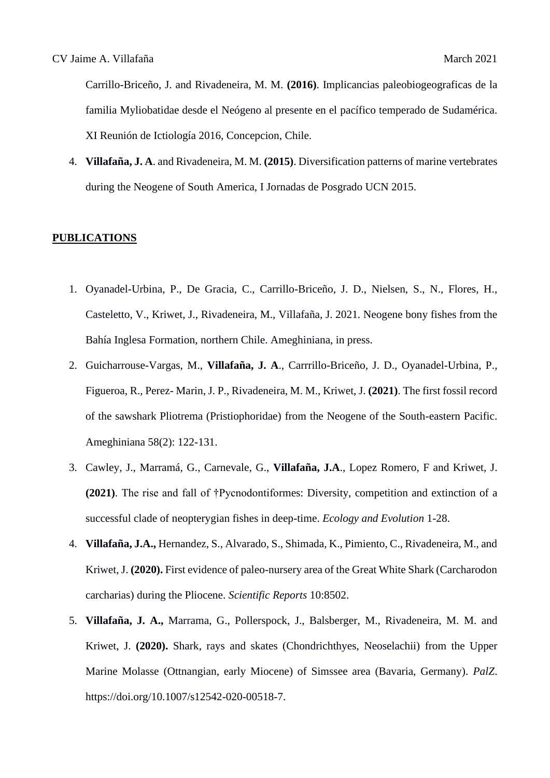Carrillo-Briceño, J. and Rivadeneira, M. M. **(2016)**. Implicancias paleobiogeograficas de la familia Myliobatidae desde el Neógeno al presente en el pacífico temperado de Sudamérica. XI Reunión de Ictiología 2016, Concepcion, Chile.

4. **Villafaña, J. A**. and Rivadeneira, M. M. **(2015)**. Diversification patterns of marine vertebrates during the Neogene of South America, I Jornadas de Posgrado UCN 2015.

#### **PUBLICATIONS**

- 1. Oyanadel-Urbina, P., De Gracia, C., Carrillo-Briceño, J. D., Nielsen, S., N., Flores, H., Casteletto, V., Kriwet, J., Rivadeneira, M., Villafaña, J. 2021. Neogene bony fishes from the Bahía Inglesa Formation, northern Chile. Ameghiniana, in press.
- 2. Guicharrouse-Vargas, M., **Villafaña, J. A**., Carrrillo-Briceño, J. D., Oyanadel-Urbina, P., Figueroa, R., Perez- Marin, J. P., Rivadeneira, M. M., Kriwet, J. **(2021)**. The first fossil record of the sawshark Pliotrema (Pristiophoridae) from the Neogene of the South-eastern Pacific. Ameghiniana 58(2): 122-131.
- 3. Cawley, J., Marramá, G., Carnevale, G., **Villafaña, J.A**., Lopez Romero, F and Kriwet, J. **(2021)**. The rise and fall of †Pycnodontiformes: Diversity, competition and extinction of a successful clade of neopterygian fishes in deep-time. *Ecology and Evolution* 1-28.
- 4. **Villafaña, J.A.,** Hernandez, S., Alvarado, S., Shimada, K., Pimiento, C., Rivadeneira, M., and Kriwet, J. **(2020).** First evidence of paleo-nursery area of the Great White Shark (Carcharodon carcharias) during the Pliocene. *Scientific Reports* 10:8502.
- 5. **Villafaña, J. A.,** Marrama, G., Pollerspock, J., Balsberger, M., Rivadeneira, M. M. and Kriwet, J. **(2020).** Shark, rays and skates (Chondrichthyes, Neoselachii) from the Upper Marine Molasse (Ottnangian, early Miocene) of Simssee area (Bavaria, Germany). *PalZ*. https://doi.org/10.1007/s12542-020-00518-7.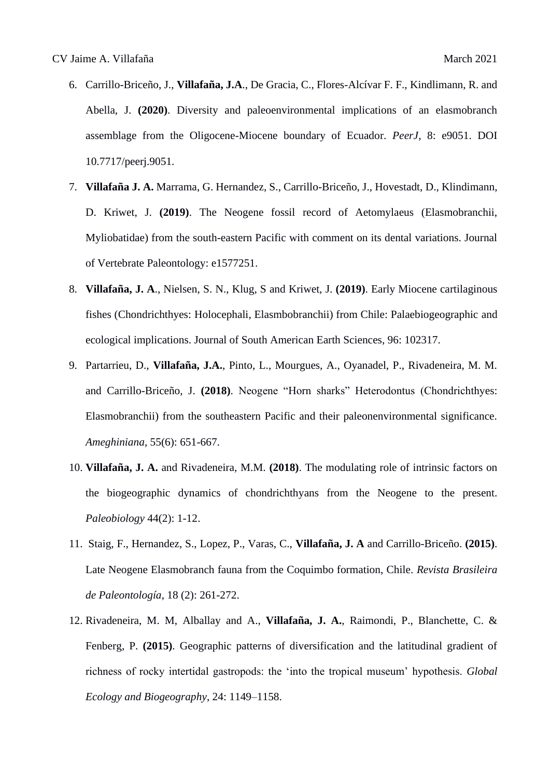- 6. Carrillo-Briceño, J., **Villafaña, J.A**., De Gracia, C., Flores-Alcívar F. F., Kindlimann, R. and Abella, J. **(2020)**. Diversity and paleoenvironmental implications of an elasmobranch assemblage from the Oligocene-Miocene boundary of Ecuador. *PeerJ*, 8: e9051. DOI 10.7717/peerj.9051.
- 7. **Villafaña J. A.** Marrama, G. Hernandez, S., Carrillo-Briceño, J., Hovestadt, D., Klindimann, D. Kriwet, J. **(2019)**. The Neogene fossil record of Aetomylaeus (Elasmobranchii, Myliobatidae) from the south-eastern Pacific with comment on its dental variations. Journal of Vertebrate Paleontology: e1577251.
- 8. **Villafaña, J. A**., Nielsen, S. N., Klug, S and Kriwet, J. **(2019)**. Early Miocene cartilaginous fishes (Chondrichthyes: Holocephali, Elasmbobranchii) from Chile: Palaebiogeographic and ecological implications. Journal of South American Earth Sciences, 96: 102317.
- 9. Partarrieu, D., **Villafaña, J.A.**, Pinto, L., Mourgues, A., Oyanadel, P., Rivadeneira, M. M. and Carrillo-Briceño, J. **(2018)**. Neogene "Horn sharks" Heterodontus (Chondrichthyes: Elasmobranchii) from the southeastern Pacific and their paleonenvironmental significance. *Ameghiniana*, 55(6): 651-667.
- 10. **Villafaña, J. A.** and Rivadeneira, M.M. **(2018)**. The modulating role of intrinsic factors on the biogeographic dynamics of chondrichthyans from the Neogene to the present. *Paleobiology* 44(2): 1-12.
- 11. Staig, F., Hernandez, S., Lopez, P., Varas, C., **Villafaña, J. A** and Carrillo-Briceño. **(2015)**. Late Neogene Elasmobranch fauna from the Coquimbo formation, Chile. *Revista Brasileira de Paleontología*, 18 (2): 261-272.
- 12. Rivadeneira, M. M, Alballay and A., **Villafaña, J. A.**, Raimondi, P., Blanchette, C. & Fenberg, P. **(2015)**. Geographic patterns of diversification and the latitudinal gradient of richness of rocky intertidal gastropods: the 'into the tropical museum' hypothesis. *Global Ecology and Biogeography*, 24: 1149–1158.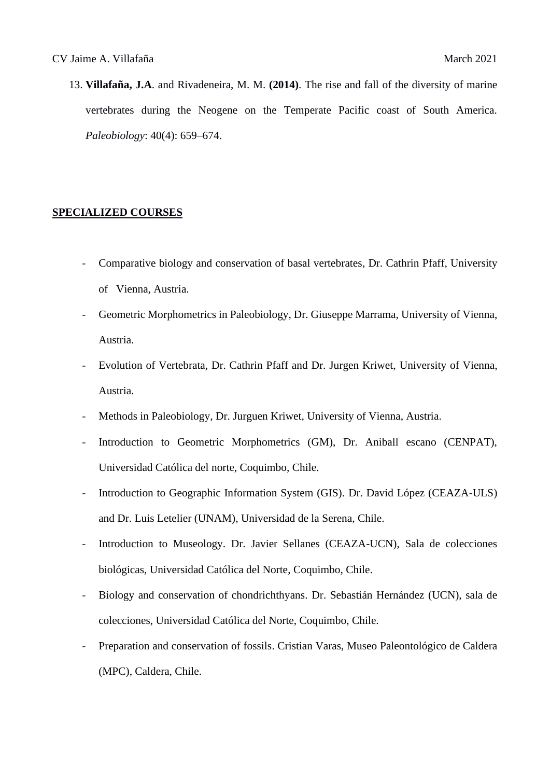13. **Villafaña, J.A**. and Rivadeneira, M. M. **(2014)**. The rise and fall of the diversity of marine vertebrates during the Neogene on the Temperate Pacific coast of South America. *Paleobiology*: 40(4): 659–674.

#### **SPECIALIZED COURSES**

- Comparative biology and conservation of basal vertebrates, Dr. Cathrin Pfaff, University of Vienna, Austria.
- Geometric Morphometrics in Paleobiology, Dr. Giuseppe Marrama, University of Vienna, Austria.
- Evolution of Vertebrata, Dr. Cathrin Pfaff and Dr. Jurgen Kriwet, University of Vienna, Austria.
- Methods in Paleobiology, Dr. Jurguen Kriwet, University of Vienna, Austria.
- Introduction to Geometric Morphometrics (GM), Dr. Aniball escano (CENPAT), Universidad Católica del norte, Coquimbo, Chile.
- Introduction to Geographic Information System (GIS). Dr. David López (CEAZA-ULS) and Dr. Luis Letelier (UNAM), Universidad de la Serena, Chile.
- Introduction to Museology. Dr. Javier Sellanes (CEAZA-UCN), Sala de colecciones biológicas, Universidad Católica del Norte, Coquimbo, Chile.
- Biology and conservation of chondrichthyans. Dr. Sebastián Hernández (UCN), sala de colecciones, Universidad Católica del Norte, Coquimbo, Chile.
- Preparation and conservation of fossils. Cristian Varas, Museo Paleontológico de Caldera (MPC), Caldera, Chile.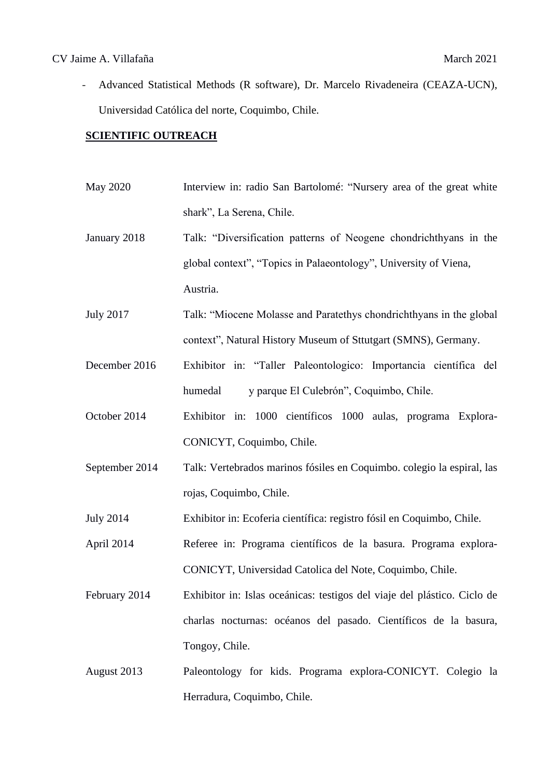#### CV Jaime A. Villafaña March 2021

- Advanced Statistical Methods (R software), Dr. Marcelo Rivadeneira (CEAZA-UCN), Universidad Católica del norte, Coquimbo, Chile.

#### **SCIENTIFIC OUTREACH**

- May 2020 Interview in: radio San Bartolomé: "Nursery area of the great white shark", La Serena, Chile. January 2018 Talk: "Diversification patterns of Neogene chondrichthyans in the global context", "Topics in Palaeontology", University of Viena, Austria.
- July 2017 Talk: "Miocene Molasse and Paratethys chondrichthyans in the global context", Natural History Museum of Sttutgart (SMNS), Germany.
- December 2016 Exhibitor in: "Taller Paleontologico: Importancia científica del humedal y parque El Culebrón", Coquimbo, Chile.
- October 2014 Exhibitor in: 1000 científicos 1000 aulas, programa Explora-CONICYT, Coquimbo, Chile.
- September 2014 Talk: Vertebrados marinos fósiles en Coquimbo. colegio la espiral, las rojas, Coquimbo, Chile.
- July 2014 Exhibitor in: Ecoferia científica: registro fósil en Coquimbo, Chile.

April 2014 Referee in: Programa científicos de la basura. Programa explora-CONICYT, Universidad Catolica del Note, Coquimbo, Chile.

- February 2014 Exhibitor in: Islas oceánicas: testigos del viaje del plástico. Ciclo de charlas nocturnas: océanos del pasado. Científicos de la basura, Tongoy, Chile.
- August 2013 Paleontology for kids. Programa explora-CONICYT. Colegio la Herradura, Coquimbo, Chile.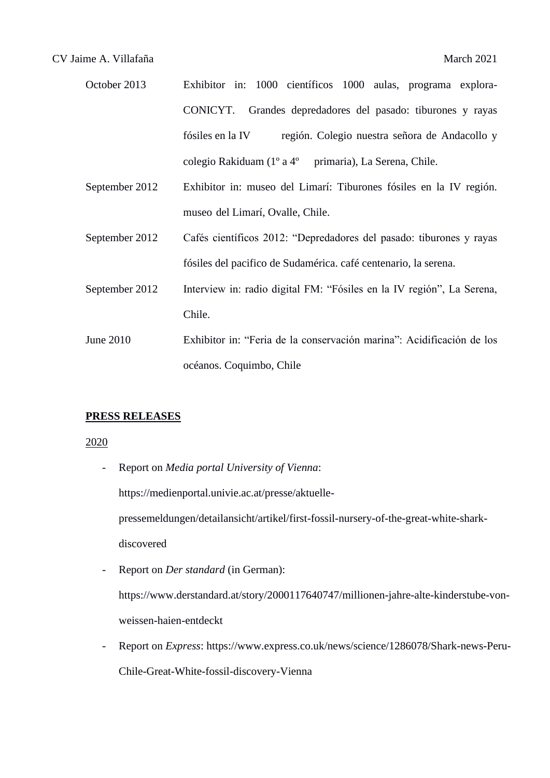| October 2013 | Exhibitor in: 1000 científicos 1000 aulas, programa explora-      |
|--------------|-------------------------------------------------------------------|
|              | CONICYT. Grandes depredadores del pasado: tiburones y rayas       |
|              | región. Colegio nuestra señora de Andacollo y<br>fósiles en la IV |
|              | colegio Rakiduam (1º a 4º primaria), La Serena, Chile.            |

- September 2012 Exhibitor in: museo del Limarí: Tiburones fósiles en la IV región. museo del Limarí, Ovalle, Chile.
- September 2012 Cafés científicos 2012: "Depredadores del pasado: tiburones y rayas fósiles del pacifico de Sudamérica. café centenario, la serena.
- September 2012 Interview in: radio digital FM: "Fósiles en la IV región", La Serena, Chile.
- June 2010 Exhibitor in: "Feria de la conservación marina": Acidificación de los océanos. Coquimbo, Chile

#### **PRESS RELEASES**

#### 2020

- Report on *Media portal University of Vienna*: https://medienportal.univie.ac.at/presse/aktuellepressemeldungen/detailansicht/artikel/first-fossil-nursery-of-the-great-white-sharkdiscovered
- Report on *Der standard* (in German): https://www.derstandard.at/story/2000117640747/millionen-jahre-alte-kinderstube-vonweissen-haien-entdeckt
- Report on *Express*: https://www.express.co.uk/news/science/1286078/Shark-news-Peru-Chile-Great-White-fossil-discovery-Vienna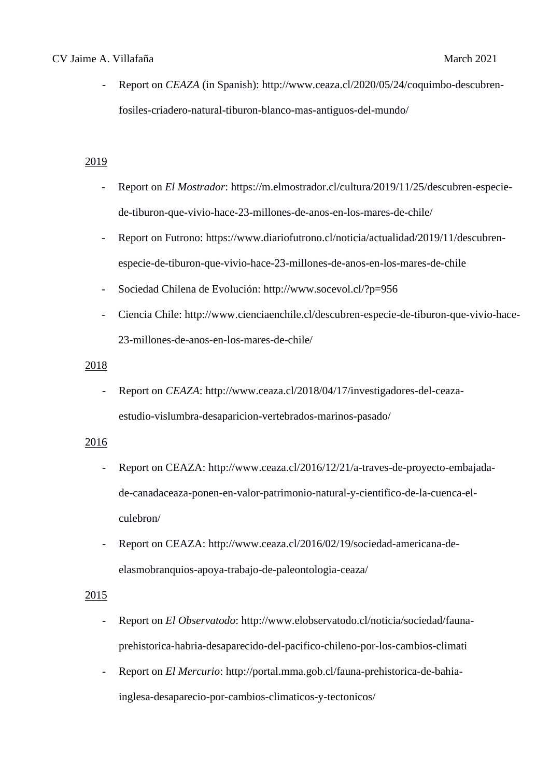#### CV Jaime A. Villafaña March 2021

Report on *CEAZA* (in Spanish): http://www.ceaza.cl/2020/05/24/coquimbo-descubrenfosiles-criadero-natural-tiburon-blanco-mas-antiguos-del-mundo/

## 2019

- Report on *El Mostrador*: https://m.elmostrador.cl/cultura/2019/11/25/descubren-especiede-tiburon-que-vivio-hace-23-millones-de-anos-en-los-mares-de-chile/
- Report on Futrono: https://www.diariofutrono.cl/noticia/actualidad/2019/11/descubrenespecie-de-tiburon-que-vivio-hace-23-millones-de-anos-en-los-mares-de-chile
- Sociedad Chilena de Evolución: http://www.socevol.cl/?p=956
- Ciencia Chile: http://www.cienciaenchile.cl/descubren-especie-de-tiburon-que-vivio-hace-23-millones-de-anos-en-los-mares-de-chile/

#### 2018

- Report on *CEAZA*: http://www.ceaza.cl/2018/04/17/investigadores-del-ceazaestudio-vislumbra-desaparicion-vertebrados-marinos-pasado/

## 2016

- Report on CEAZA: http://www.ceaza.cl/2016/12/21/a-traves-de-proyecto-embajadade-canadaceaza-ponen-en-valor-patrimonio-natural-y-cientifico-de-la-cuenca-elculebron/
- Report on CEAZA: http://www.ceaza.cl/2016/02/19/sociedad-americana-deelasmobranquios-apoya-trabajo-de-paleontologia-ceaza/

#### 2015

- Report on *El Observatodo*: http://www.elobservatodo.cl/noticia/sociedad/faunaprehistorica-habria-desaparecido-del-pacifico-chileno-por-los-cambios-climati
- Report on *El Mercurio*: http://portal.mma.gob.cl/fauna-prehistorica-de-bahiainglesa-desaparecio-por-cambios-climaticos-y-tectonicos/